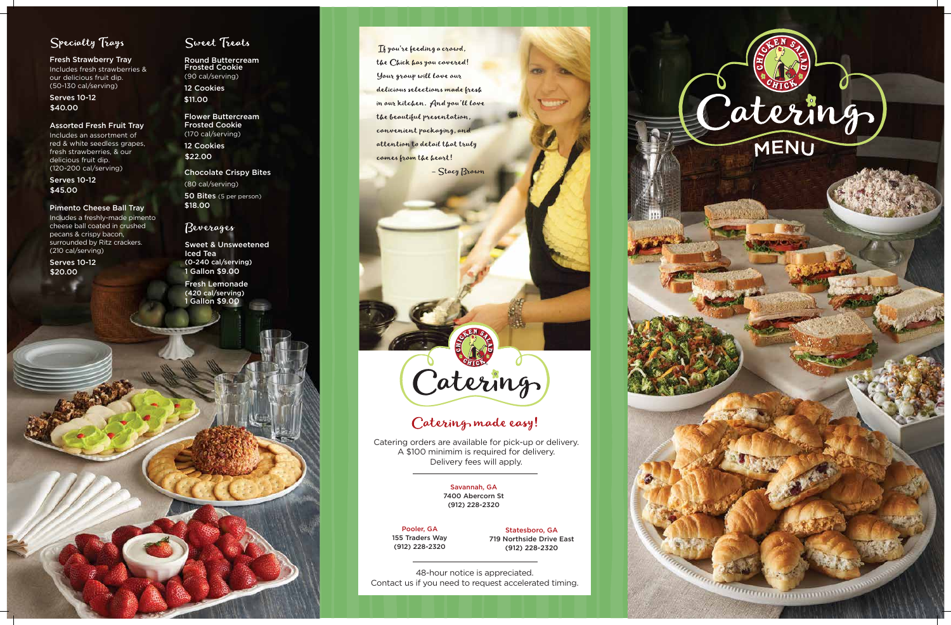



## Specialty Trays

Fresh Strawberry Tray Includes fresh strawberries & our delicious fruit dip. (50-130 cal/serving)

#### Assorted Fresh Fruit Tray

Includes an assortment of red & white seedless grapes, fresh strawberries, & our delicious fruit dip. (120-200 cal/serving)

Serves 10-12 \$40.00

#### Pimento Cheese Ball Tray

50 Bites (5 per person) \$18.00

Serves 10-12 \$45.00

Includes a freshly-made pimento cheese ball coated in crushed pecans & crispy bacon, surrounded by Ritz crackers. (210 cal/serving)

Serves 10-12 \$20.00

### Sweet Treats

Round Buttercream Frosted Cookie (90 cal/serving) 12 Cookies \$11.00

Flower Buttercream Frosted Cookie (170 cal/serving)

12 Cookies \$22.00

Chocolate Crispy Bites

(80 cal/serving)

### Beverages

Sweet & Unsweetened Iced Tea (0-240 cal/serving) 1 Gallon \$9.00

Fresh Lemonade (420 cal/serving) 1 Gallon \$9.00

If you're feeding a crowd, the Chick has you covered! Your group will love our delicious selections made fresh in our kitchen. And you'll love the beautiful presentation, convenient packaging, and attention to detail that truly comes from the heart!

- Stacy Brown

# Catering

# Catering made easy!

48-hour notice is appreciated. Contact us if you need to request accelerated timing.

Catering orders are available for pick-up or delivery. A \$100 minimim is required for delivery. Delivery fees will apply.

> Savannah, GA 7400 Abercorn St (912) 228-2320

Pooler, GA 155 Traders Way (912) 228-2320

Statesboro, GA 719 Northside Drive East (912) 228-2320